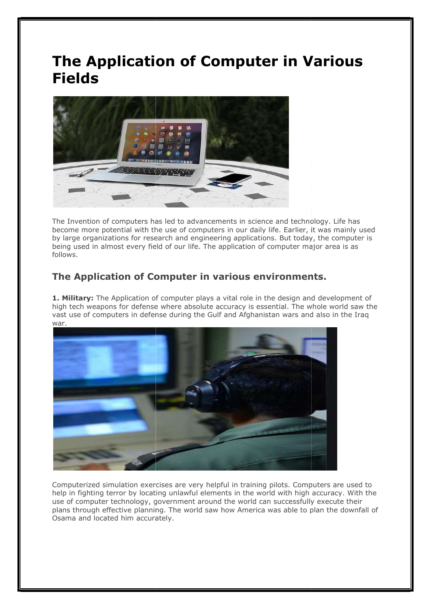## The Application of Computer in Various Fields



The Invention of computers has led to advancements in science and technology. Life has become more potential with the use of computers in our daily life. Earlier, it was mainly used by large organizations for research and engineering applications. But today, the computer is being used in almost every field of our life. The application of computer major area is as follows. become more potential with the use of computers in our daily life. Earlier, it was mainly usec<br>by large organizations for research and engineering applications. But today, the computer is<br>being used in almost every field o

## The Application of Computer in various environments.

1. Military: The Application of computer plays a vital role in the design and development of **1. Military:** The Application of computer plays a vital role in the design and development of<br>high tech weapons for defense where absolute accuracy is essential. The whole world saw the vast use of computers in defense during the Gulf and Afghanistan wars and also in the Iraq war.



Computerized simulation exercises are very helpful in training pilots. Computers are used to help in fighting terror by locating unlawful elements in the world with high accuracy. With the use of computer technology, government around the world can successfully execute their plans through effective planning. The world saw how America was able to plan the downfall of Osama and located him accurately.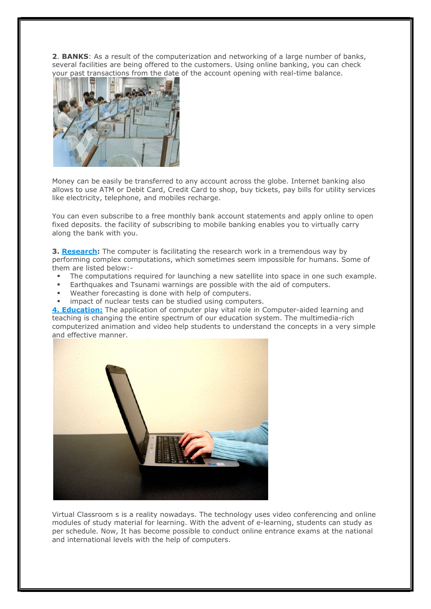**2. BANKS:** As a result of the computerization and networking of a large number of banks, several facilities are being offered to the customers. Using online banking, you can check your past transactions from the date of the account opening with real-time balance.



Money can be easily be transferred to any account across the globe. Internet banking also allows to use ATM or Debit Card, Credit Card to shop, buy tickets, pay bills for utility services like electricity, telephone, and mobiles recharge.

You can even subscribe to a free monthly bank account statements and apply online to open fixed deposits. the facility of subscribing to mobile banking enables you to virtually carry along the bank with you.

**3. Research:** The computer is facilitating the research work in a tremendous way by performing complex computations, which sometimes seem impossible for humans. Some of them are listed below:-

- The computations required for launching a new satellite into space in one such example.
- Earthquakes and Tsunami warnings are possible with the aid of computers.
- Weather forecasting is done with help of computers.
- impact of nuclear tests can be studied using computers.

4. **Education:** The application of computer play vital role in Computer-aided learning and teaching is changing the entire spectrum of our education system. The multimedia-rich computerized animation and video help students to understand the concepts in a very simple and effective manner.



Virtual Classroom s is a reality nowadays. The technology uses video conferencing and online modules of study material for learning. With the advent of e-learning, students can study as per schedule. Now, It has become possible to conduct online entrance exams at the national and international levels with the help of computers.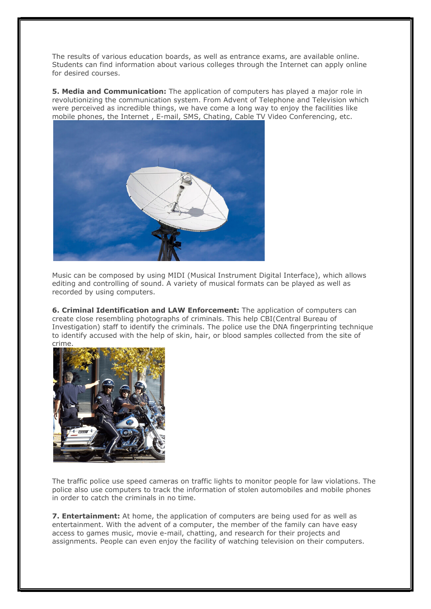The results of various education boards, as well as entrance exams, are available online. Students can find information about various colleges through the Internet can apply online for desired courses.

**5. Media and Communication:** The application of computers has played a major role in revolutionizing the communication system. From Advent of Telephone and Television which were perceived as incredible things, we have come a long way to enjoy the facilities like mobile phones, the Internet , E-mail, SMS, Chating, Cable TV Video Conferencing, etc.



Music can be composed by using MIDI (Musical Instrument Digital Interface), which allows editing and controlling of sound. A variety of musical formats can be played as well as recorded by using computers.

6. Criminal Identification and LAW Enforcement: The application of computers can create close resembling photographs of criminals. This help CBI(Central Bureau of Investigation) staff to identify the criminals. The police use the DNA fingerprinting technique to identify accused with the help of skin, hair, or blood samples collected from the site of crime.



The traffic police use speed cameras on traffic lights to monitor people for law violations. The police also use computers to track the information of stolen automobiles and mobile phones in order to catch the criminals in no time.

7. **Entertainment:** At home, the application of computers are being used for as well as entertainment. With the advent of a computer, the member of the family can have easy access to games music, movie e-mail, chatting, and research for their projects and assignments. People can even enjoy the facility of watching television on their computers.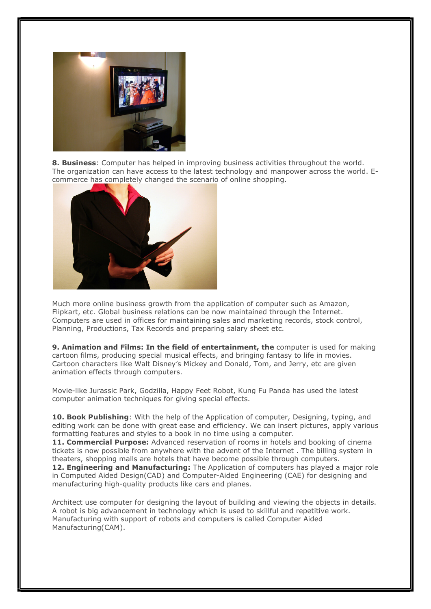

8. Business: Computer has helped in improving business activities throughout the world. The organization can have access to the latest technology and manpower across the world. Ecommerce has completely changed the scenario of online shopping.



Much more online business growth from the application of computer such as Amazon, Flipkart, etc. Global business relations can be now maintained through the Internet. Computers are used in offices for maintaining sales and marketing records, stock control, Planning, Productions, Tax Records and preparing salary sheet etc.

**9. Animation and Films: In the field of entertainment, the computer is used for making** cartoon films, producing special musical effects, and bringing fantasy to life in movies. Cartoon characters like Walt Disney's Mickey and Donald, Tom, and Jerry, etc are given animation effects through computers.

Movie-like Jurassic Park, Godzilla, Happy Feet Robot, Kung Fu Panda has used the latest computer animation techniques for giving special effects.

10. Book Publishing: With the help of the Application of computer, Designing, typing, and editing work can be done with great ease and efficiency. We can insert pictures, apply various formatting features and styles to a book in no time using a computer.

**11. Commercial Purpose:** Advanced reservation of rooms in hotels and booking of cinema tickets is now possible from anywhere with the advent of the Internet . The billing system in theaters, shopping malls are hotels that have become possible through computers. 12. Engineering and Manufacturing: The Application of computers has played a major role in Computed Aided Design(CAD) and Computer-Aided Engineering (CAE) for designing and manufacturing high-quality products like cars and planes.

Architect use computer for designing the layout of building and viewing the objects in details. A robot is big advancement in technology which is used to skillful and repetitive work. Manufacturing with support of robots and computers is called Computer Aided Manufacturing(CAM).